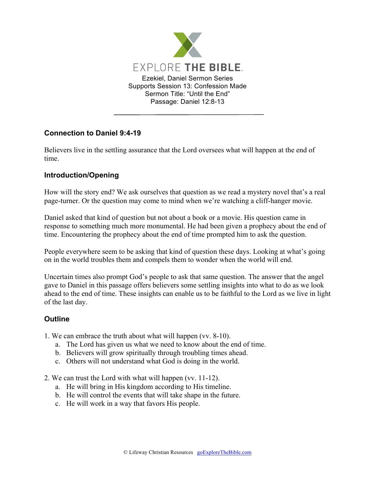

## **Connection to Daniel 9:4-19**

Believers live in the settling assurance that the Lord oversees what will happen at the end of time.

## **Introduction/Opening**

How will the story end? We ask ourselves that question as we read a mystery novel that's a real page-turner. Or the question may come to mind when we're watching a cliff-hanger movie.

Daniel asked that kind of question but not about a book or a movie. His question came in response to something much more monumental. He had been given a prophecy about the end of time. Encountering the prophecy about the end of time prompted him to ask the question.

People everywhere seem to be asking that kind of question these days. Looking at what's going on in the world troubles them and compels them to wonder when the world will end.

Uncertain times also prompt God's people to ask that same question. The answer that the angel gave to Daniel in this passage offers believers some settling insights into what to do as we look ahead to the end of time. These insights can enable us to be faithful to the Lord as we live in light of the last day.

## **Outline**

- 1. We can embrace the truth about what will happen (vv. 8-10).
	- a. The Lord has given us what we need to know about the end of time.
	- b. Believers will grow spiritually through troubling times ahead.
	- c. Others will not understand what God is doing in the world.
- 2. We can trust the Lord with what will happen (vv. 11-12).
	- a. He will bring in His kingdom according to His timeline.
	- b. He will control the events that will take shape in the future.
	- c. He will work in a way that favors His people.